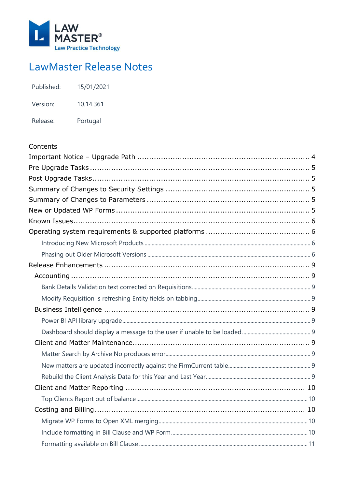

# LawMaster Release Notes

| Published: | 15/01/2021 |
|------------|------------|
|            |            |

Version: 10.14.361

Release: Portugal

# Contents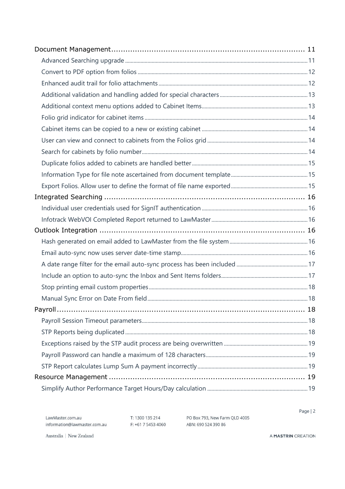T: 1300 135 214 PO Box 793, New Farm QLD 4005<br>F: +61 7 5453 4060 ABN: 690 524 390 86

Page | 2

Australia | New Zealand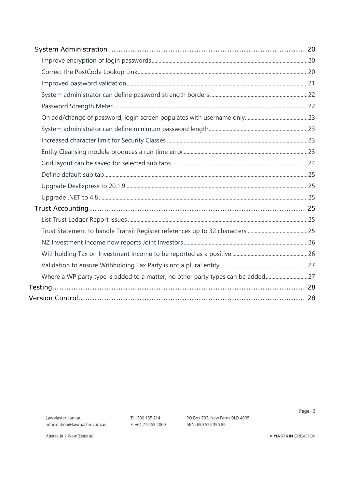| Where a WP party type is added to a matter, no other party types can be added 27 |  |
|----------------------------------------------------------------------------------|--|
|                                                                                  |  |
|                                                                                  |  |

T: 1300 135 214 F: +61 7 5453 4060 PO Box 793, New Farm QLD 4005 ABN: 690 524 390 86

Page | 3

Australia | New Zealand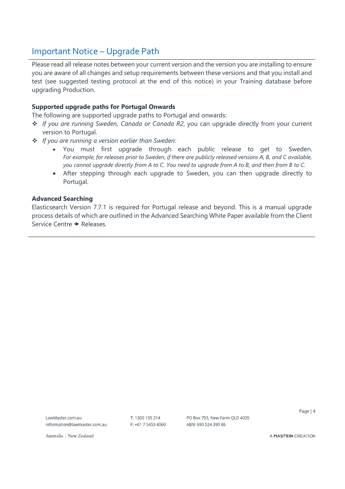# <span id="page-3-0"></span>Important Notice – Upgrade Path

Please read all release notes between your current version and the version you are installing to ensure you are aware of all changes and setup requirements between these versions and that you install and test (see suggested testing protocol at the end of this notice) in your Training database before upgrading Production.

## **Supported upgrade paths for Portugal Onwards**

The following are supported upgrade paths to Portugal and onwards:

- ❖ *If you are running Sweden, Canada or Canada R2*, you can upgrade directly from your current version to Portugal.
- ❖ *If you are running a version earlier than Sweden:*
	- You must first upgrade through each public release to get to Sweden. *For example, for releases prior to Sweden, if there are publicly released versions A, B, and C available, you cannot upgrade directly from A to C. You need to upgrade from A to B, and then from B to C.*
	- After stepping through each upgrade to Sweden, you can then upgrade directly to Portugal.

### **Advanced Searching**

Elasticsearch Version 7.7.1 is required for Portugal release and beyond. This is a manual upgrade process details of which are outlined in the Advanced Searching White Paper available from the Client Service Centre  $\rightarrow$  Releases.

LawMaster.com.au information@lawmaster.com.au T: 1300 135 214 F: +61 7 5453 4060 PO Box 793, New Farm OLD 4005 ABN: 690 524 390 86

Page | 4

Australia | New Zealand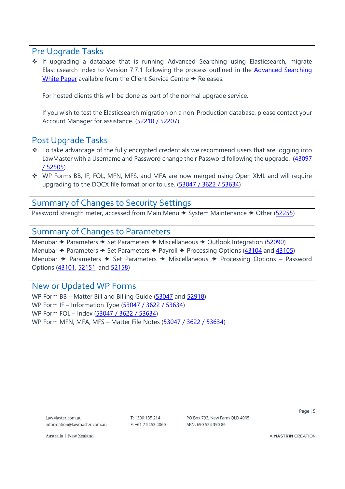# <span id="page-4-0"></span>Pre Upgrade Tasks

❖ If upgrading a database that is running Advanced Searching using Elasticsearch, migrate Elasticsearch Index to Version 7.7.1 following the process outlined in the **Advanced Searching** [White Paper](https://members.lawmaster.com.au/lmhelp/v10/rn/Elasticsearch%207.7.1%20-%20Whitepaper.pdf) available from the Client Service Centre  $\rightarrow$  Releases.

For hosted clients this will be done as part of the normal upgrade service.

If you wish to test the Elasticsearch migration on a non-Production database, please contact your Account Manager for assistance. [\(52210 / 52207\)](#page-10-2)

# <span id="page-4-1"></span>Post Upgrade Tasks

- ❖ To take advantage of the fully encrypted credentials we recommend users that are logging into LawMaster with a Username and Password change their Password following the upgrade. (43097 [/ 52505\)](#page-19-1)
- ❖ WP Forms BB, IF, FOL, MFN, MFS, and MFA are now merged using Open XML and will require upgrading to the DOCX file format prior to use. [\(53047 / 3622 / 53634\)](#page-9-3)

# <span id="page-4-2"></span>Summary of Changes to Security Settings

Password strength meter, accessed from Main Menu  $\rightarrow$  System Maintenance  $\rightarrow$  Other [\(52255\)](#page-21-1)

# <span id="page-4-3"></span>Summary of Changes to Parameters

Menubar  $\rightarrow$  Parameters  $\rightarrow$  Set Parameters  $\rightarrow$  Miscellaneous  $\rightarrow$  Outlook Integration [\(52090\)](#page-16-1) Menubar  $\rightarrow$  Parameters  $\rightarrow$  Set Parameters  $\rightarrow$  Payroll  $\rightarrow$  Processing Options [\(43104](#page-17-4) and [43105\)](#page-17-4) Menubar  $\rightarrow$  Parameters  $\rightarrow$  Set Parameters  $\rightarrow$  Miscellaneous  $\rightarrow$  Processing Options – Password Options [\(43101,](#page-20-0) [52151,](#page-21-0) and [52158\)](#page-22-1)

# <span id="page-4-4"></span>New or Updated WP Forms

WP Form BB – Matter Bill and Billing Guide [\(53047](#page-9-3) and [52918\)](#page-9-4) WP Form IF – Information Type [\(53047 / 3622 / 53634\)](#page-9-3) WP Form FOL – Index [\(53047 / 3622 / 53634\)](#page-9-3) WP Form MFN, MFA, MFS – Matter File Notes [\(53047 / 3622 / 53634\)](#page-9-3)

LawMaster.com.au information@lawmaster.com.au T: 1300 135 214  $F: +61754534060$  PO Box 793, New Farm OLD 4005 ABN: 690 524 390 86

Page | 5

Australia | New Zealand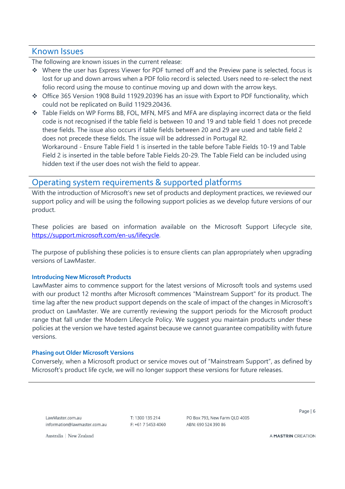# <span id="page-5-0"></span>Known Issues

❖

The following are known issues in the current release:

- ❖ Where the user has Express Viewer for PDF turned off and the Preview pane is selected, focus is lost for up and down arrows when a PDF folio record is selected. Users need to re-select the next folio record using the mouse to continue moving up and down with the arrow keys.
- ❖ Office 365 Version 1908 Build 11929.20396 has an issue with Export to PDF functionality, which could not be replicated on Build 11929.20436.
- ❖ Table Fields on WP Forms BB, FOL, MFN, MFS and MFA are displaying incorrect data or the field code is not recognised if the table field is between 10 and 19 and table field 1 does not precede these fields. The issue also occurs if table fields between 20 and 29 are used and table field 2 does not precede these fields. The issue will be addressed in Portugal R2. Workaround - Ensure Table Field 1 is inserted in the table before Table Fields 10-19 and Table Field 2 is inserted in the table before Table Fields 20-29. The Table Field can be included using hidden text if the user does not wish the field to appear.

# <span id="page-5-1"></span>Operating system requirements & supported platforms

With the introduction of Microsoft's new set of products and deployment practices, we reviewed our support policy and will be using the following support policies as we develop future versions of our product.

These policies are based on information available on the Microsoft Support Lifecycle site, [https://support.microsoft.com/en-us/lifecycle.](https://support.microsoft.com/en-us/lifecycle)

The purpose of publishing these policies is to ensure clients can plan appropriately when upgrading versions of LawMaster.

### <span id="page-5-2"></span>**Introducing New Microsoft Products**

LawMaster aims to commence support for the latest versions of Microsoft tools and systems used with our product 12 months after Microsoft commences "Mainstream Support" for its product. The time lag after the new product support depends on the scale of impact of the changes in Microsoft's product on LawMaster. We are currently reviewing the support periods for the Microsoft product range that fall under the Modern Lifecycle Policy. We suggest you maintain products under these policies at the version we have tested against because we cannot guarantee compatibility with future versions.

### <span id="page-5-3"></span>**Phasing out Older Microsoft Versions**

Conversely, when a Microsoft product or service moves out of "Mainstream Support", as defined by Microsoft's product life cycle, we will no longer support these versions for future releases.

LawMaster.com.au information@lawmaster.com.au T: 1300 135 214  $F: +61$  7 5453 4060 PO Box 793, New Farm OLD 4005 ABN: 690 524 390 86

Page | 6

Australia | New Zealand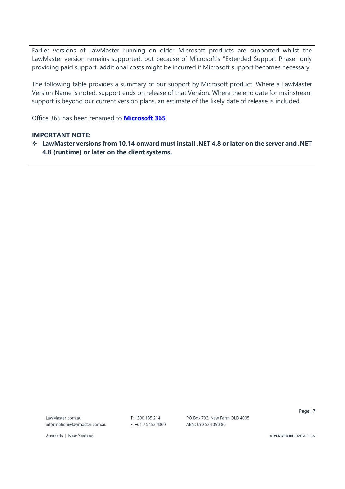Earlier versions of LawMaster running on older Microsoft products are supported whilst the LawMaster version remains supported, but because of Microsoft's "Extended Support Phase" only providing paid support, additional costs might be incurred if Microsoft support becomes necessary.

The following table provides a summary of our support by Microsoft product. Where a LawMaster Version Name is noted, support ends on release of that Version. Where the end date for mainstream support is beyond our current version plans, an estimate of the likely date of release is included.

Office 365 has been renamed to **[Microsoft 365](https://www.microsoft.com/en-us/microsoft-365/blog/2020/03/30/new-microsoft-365-offerings-small-and-medium-sized-businesses/)**.

### **IMPORTANT NOTE:**

❖ **LawMaster versions from 10.14 onward must install .NET 4.8 or later on the server and .NET 4.8 (runtime) or later on the client systems.**

LawMaster.com.au information@lawmaster.com.au T: 1300 135 214 F: +61 7 5453 4060 PO Box 793, New Farm OLD 4005 ABN: 690 524 390 86

Page | 7

Australia | New Zealand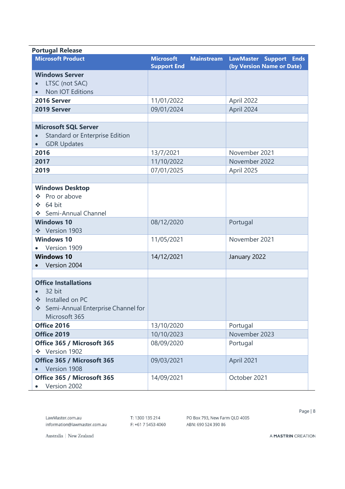| <b>Portugal Release</b>                                           |                                                             |                                                     |
|-------------------------------------------------------------------|-------------------------------------------------------------|-----------------------------------------------------|
| <b>Microsoft Product</b>                                          | <b>Microsoft</b><br><b>Mainstream</b><br><b>Support End</b> | LawMaster Support Ends<br>(by Version Name or Date) |
| <b>Windows Server</b>                                             |                                                             |                                                     |
| LTSC (not SAC)                                                    |                                                             |                                                     |
| Non IOT Editions<br>$\bullet$                                     |                                                             |                                                     |
| 2016 Server                                                       | 11/01/2022                                                  | April 2022                                          |
| 2019 Server                                                       | 09/01/2024                                                  | April 2024                                          |
| <b>Microsoft SQL Server</b>                                       |                                                             |                                                     |
| Standard or Enterprise Edition<br><b>GDR Updates</b><br>$\bullet$ |                                                             |                                                     |
| 2016                                                              | 13/7/2021                                                   | November 2021                                       |
| 2017                                                              | 11/10/2022                                                  | November 2022                                       |
| 2019                                                              | 07/01/2025                                                  | April 2025                                          |
|                                                                   |                                                             |                                                     |
| <b>Windows Desktop</b>                                            |                                                             |                                                     |
| Pro or above<br>÷                                                 |                                                             |                                                     |
| 64 bit<br>÷.                                                      |                                                             |                                                     |
| ❖ Semi-Annual Channel                                             |                                                             |                                                     |
| <b>Windows 10</b>                                                 | 08/12/2020                                                  | Portugal                                            |
| ❖ Version 1903                                                    |                                                             |                                                     |
| <b>Windows 10</b>                                                 | 11/05/2021                                                  | November 2021                                       |
| Version 1909                                                      |                                                             |                                                     |
| <b>Windows 10</b>                                                 | 14/12/2021                                                  | January 2022                                        |
| Version 2004                                                      |                                                             |                                                     |
|                                                                   |                                                             |                                                     |
| <b>Office Installations</b>                                       |                                                             |                                                     |
| 32 bit<br>$\bullet$                                               |                                                             |                                                     |
| Installed on PC<br>$\frac{1}{2}$                                  |                                                             |                                                     |
| ❖ Semi-Annual Enterprise Channel for                              |                                                             |                                                     |
| Microsoft 365                                                     |                                                             |                                                     |
| Office 2016                                                       | 13/10/2020                                                  | Portugal                                            |
| Office 2019                                                       | 10/10/2023                                                  | November 2023                                       |
| Office 365 / Microsoft 365<br>❖ Version 1902                      | 08/09/2020                                                  | Portugal                                            |
| Office 365 / Microsoft 365                                        | 09/03/2021                                                  | April 2021                                          |
| Version 1908                                                      |                                                             |                                                     |
| Office 365 / Microsoft 365                                        | 14/09/2021                                                  | October 2021                                        |
| Version 2002                                                      |                                                             |                                                     |

T: 1300 135 214 F: +61 7 5453 4060 PO Box 793, New Farm QLD 4005 ABN: 690 524 390 86

Page | 8

Australia | New Zealand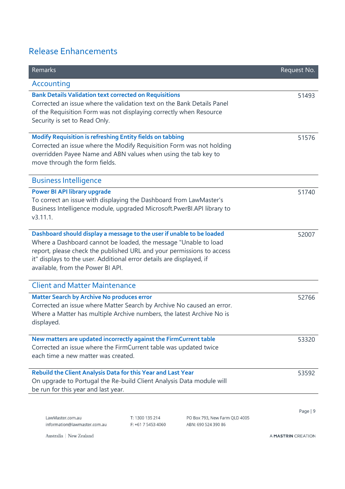# <span id="page-8-0"></span>Release Enhancements

<span id="page-8-6"></span><span id="page-8-5"></span><span id="page-8-4"></span><span id="page-8-3"></span><span id="page-8-2"></span><span id="page-8-1"></span>

| Remarks                                                                                                                                                                                                                                                                                                                        |                                       |                                                      | Request No. |
|--------------------------------------------------------------------------------------------------------------------------------------------------------------------------------------------------------------------------------------------------------------------------------------------------------------------------------|---------------------------------------|------------------------------------------------------|-------------|
| Accounting                                                                                                                                                                                                                                                                                                                     |                                       |                                                      |             |
| <b>Bank Details Validation text corrected on Requisitions</b><br>Corrected an issue where the validation text on the Bank Details Panel<br>of the Requisition Form was not displaying correctly when Resource<br>Security is set to Read Only.                                                                                 |                                       |                                                      | 51493       |
| Modify Requisition is refreshing Entity fields on tabbing<br>Corrected an issue where the Modify Requisition Form was not holding<br>overridden Payee Name and ABN values when using the tab key to<br>move through the form fields.                                                                                           |                                       |                                                      | 51576       |
| <b>Business Intelligence</b>                                                                                                                                                                                                                                                                                                   |                                       |                                                      |             |
| <b>Power BI API library upgrade</b><br>To correct an issue with displaying the Dashboard from LawMaster's<br>Business Intelligence module, upgraded Microsoft.PwerBI.API library to<br>v3.11.1.                                                                                                                                |                                       |                                                      | 51740       |
| Dashboard should display a message to the user if unable to be loaded<br>Where a Dashboard cannot be loaded, the message "Unable to load<br>report, please check the published URL and your permissions to access<br>it" displays to the user. Additional error details are displayed, if<br>available, from the Power BI API. |                                       |                                                      | 52007       |
| <b>Client and Matter Maintenance</b>                                                                                                                                                                                                                                                                                           |                                       |                                                      |             |
| <b>Matter Search by Archive No produces error</b><br>Corrected an issue where Matter Search by Archive No caused an error.<br>Where a Matter has multiple Archive numbers, the latest Archive No is<br>displayed.                                                                                                              |                                       |                                                      | 52766       |
| New matters are updated incorrectly against the FirmCurrent table<br>Corrected an issue where the FirmCurrent table was updated twice<br>each time a new matter was created.                                                                                                                                                   |                                       |                                                      | 53320       |
| Rebuild the Client Analysis Data for this Year and Last Year<br>On upgrade to Portugal the Re-build Client Analysis Data module will<br>be run for this year and last year.                                                                                                                                                    |                                       |                                                      | 53592       |
| LawMaster.com.au<br>information@lawmaster.com.au                                                                                                                                                                                                                                                                               | T: 1300 135 214<br>F: +61 7 5453 4060 | PO Box 793, New Farm QLD 4005<br>ABN: 690 524 390 86 | Page   9    |

<span id="page-8-10"></span><span id="page-8-9"></span><span id="page-8-8"></span><span id="page-8-7"></span>Australia | New Zealand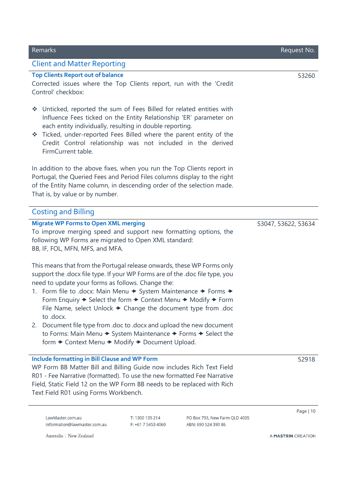<span id="page-9-4"></span><span id="page-9-3"></span><span id="page-9-2"></span><span id="page-9-1"></span><span id="page-9-0"></span>

| Remarks                                                                                                                                                                                                                                                                                                                                                                                                                                   |                                       |                                                      | Request No. |
|-------------------------------------------------------------------------------------------------------------------------------------------------------------------------------------------------------------------------------------------------------------------------------------------------------------------------------------------------------------------------------------------------------------------------------------------|---------------------------------------|------------------------------------------------------|-------------|
| <b>Client and Matter Reporting</b>                                                                                                                                                                                                                                                                                                                                                                                                        |                                       |                                                      |             |
| <b>Top Clients Report out of balance</b><br>Corrected issues where the Top Clients report, run with the 'Credit<br>Control' checkbox:                                                                                                                                                                                                                                                                                                     |                                       |                                                      | 53260       |
| Unticked, reported the sum of Fees Billed for related entities with<br>參<br>Influence Fees ticked on the Entity Relationship 'ER' parameter on<br>each entity individually, resulting in double reporting.<br>Ticked, under-reported Fees Billed where the parent entity of the<br>豪<br>Credit Control relationship was not included in the derived<br>FirmCurrent table.                                                                 |                                       |                                                      |             |
| In addition to the above fixes, when you run the Top Clients report in<br>Portugal, the Queried Fees and Period Files columns display to the right<br>of the Entity Name column, in descending order of the selection made.<br>That is, by value or by number.                                                                                                                                                                            |                                       |                                                      |             |
| <b>Costing and Billing</b>                                                                                                                                                                                                                                                                                                                                                                                                                |                                       |                                                      |             |
| <b>Migrate WP Forms to Open XML merging</b><br>To improve merging speed and support new formatting options, the<br>following WP Forms are migrated to Open XML standard:<br>BB, IF, FOL, MFN, MFS, and MFA.                                                                                                                                                                                                                               |                                       | 53047, 53622, 53634                                  |             |
| This means that from the Portugal release onwards, these WP Forms only<br>support the .docx file type. If your WP Forms are of the .doc file type, you<br>need to update your forms as follows. Change the:<br>1. Form file to .docx: Main Menu → System Maintenance → Forms →<br>Form Enquiry → Select the form → Context Menu → Modify → Form<br>File Name, select Unlock $\rightarrow$ Change the document type from .doc<br>to .docx. |                                       |                                                      |             |
| Document file type from .doc to .docx and upload the new document<br>2.<br>to Forms: Main Menu → System Maintenance → Forms → Select the<br>form → Context Menu → Modify → Document Upload.                                                                                                                                                                                                                                               |                                       |                                                      |             |
| <b>Include formatting in Bill Clause and WP Form</b><br>WP Form BB Matter Bill and Billing Guide now includes Rich Text Field<br>R01 - Fee Narrative (formatted). To use the new formatted Fee Narrative<br>Field, Static Field 12 on the WP Form BB needs to be replaced with Rich<br>Text Field R01 using Forms Workbench.                                                                                                              |                                       |                                                      | 52918       |
| LawMaster.com.au<br>information@lawmaster.com.au                                                                                                                                                                                                                                                                                                                                                                                          | T: 1300 135 214<br>F: +61 7 5453 4060 | PO Box 793, New Farm QLD 4005<br>ABN: 690 524 390 86 | Page   10   |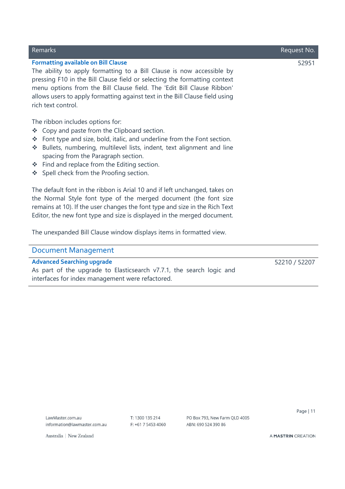### <span id="page-10-0"></span>**Formatting available on Bill Clause**

The ability to apply formatting to a Bill Clause is now accessible by pressing F10 in the Bill Clause field or selecting the formatting context menu options from the Bill Clause field. The 'Edit Bill Clause Ribbon' allows users to apply formatting against text in the Bill Clause field using rich text control.

The ribbon includes options for:

- ❖ Copy and paste from the Clipboard section.
- ❖ Font type and size, bold, italic, and underline from the Font section.
- ❖ Bullets, numbering, multilevel lists, indent, text alignment and line spacing from the Paragraph section.
- ❖ Find and replace from the Editing section.
- ❖ Spell check from the Proofing section.

The default font in the ribbon is Arial 10 and if left unchanged, takes on the Normal Style font type of the merged document (the font size remains at 10). If the user changes the font type and size in the Rich Text Editor, the new font type and size is displayed in the merged document.

The unexpanded Bill Clause window displays items in formatted view.

### <span id="page-10-1"></span>Document Management

### <span id="page-10-2"></span>**Advanced Searching upgrade**

As part of the upgrade to Elasticsearch v7.7.1, the search logic and interfaces for index management were refactored.

52210 / 52207

LawMaster.com.au information@lawmaster.com.au T: 1300 135 214 F: +61 7 5453 4060 PO Box 793, New Farm OLD 4005 ABN: 690 524 390 86

Page | 11

Australia | New Zealand

A MASTRIN CREATION

Remarks Request No.

52951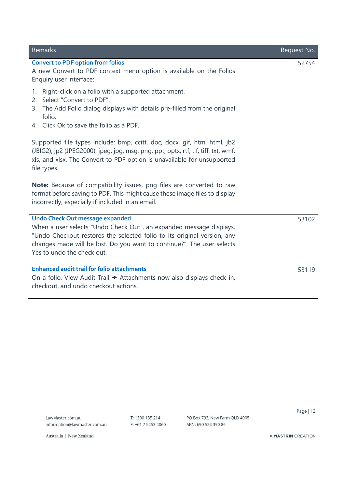<span id="page-11-0"></span>

| Remarks                                                                                                                                                                                                                                                                                          | Request No. |
|--------------------------------------------------------------------------------------------------------------------------------------------------------------------------------------------------------------------------------------------------------------------------------------------------|-------------|
| <b>Convert to PDF option from folios</b><br>A new Convert to PDF context menu option is available on the Folios<br>Enquiry user interface:                                                                                                                                                       | 52754       |
| Right-click on a folio with a supported attachment.<br>1.<br>Select "Convert to PDF".<br>2.<br>3. The Add Folio dialog displays with details pre-filled from the original<br>folio.<br>4. Click Ok to save the folio as a PDF.                                                                   |             |
| Supported file types include: bmp, ccitt, doc, docx, gif, htm, html, jb2<br>(JBIG2), jp2 (JPEG2000), jpeg, jpg, msg, png, ppt, pptx, rtf, tif, tiff, txt, wmf,<br>xls, and xlsx. The Convert to PDF option is unavailable for unsupported<br>file types.                                         |             |
| Note: Because of compatibility issues, png files are converted to raw<br>format before saving to PDF. This might cause these image files to display<br>incorrectly, especially if included in an email.                                                                                          |             |
| <b>Undo Check Out message expanded</b><br>When a user selects "Undo Check Out", an expanded message displays,<br>"Undo Checkout restores the selected folio to its original version, any<br>changes made will be lost. Do you want to continue?". The user selects<br>Yes to undo the check out. | 53102       |
| <b>Enhanced audit trail for folio attachments</b><br>On a folio, View Audit Trail → Attachments now also displays check-in,<br>checkout, and undo checkout actions.                                                                                                                              | 53119       |

Page | 12

<span id="page-11-1"></span>Australia | New Zealand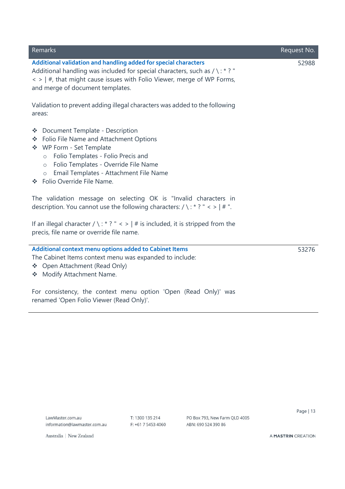<span id="page-12-0"></span>

| Remarks                                                                                                                                                                                                                                                                                                                                                                                                                                                     | Request No. |
|-------------------------------------------------------------------------------------------------------------------------------------------------------------------------------------------------------------------------------------------------------------------------------------------------------------------------------------------------------------------------------------------------------------------------------------------------------------|-------------|
| Additional validation and handling added for special characters<br>Additional handling was included for special characters, such as $/\$ : * ? "<br>$\langle$ >   #, that might cause issues with Folio Viewer, merge of WP Forms,<br>and merge of document templates.                                                                                                                                                                                      | 52988       |
| Validation to prevent adding illegal characters was added to the following<br>areas:                                                                                                                                                                                                                                                                                                                                                                        |             |
| Document Template - Description<br>參<br>❖ Folio File Name and Attachment Options<br>❖ WP Form - Set Template<br>Folio Templates - Folio Precis and<br>$\circ$<br>Folio Templates - Override File Name<br>$\circ$<br>Email Templates - Attachment File Name<br>$\circ$<br>❖ Folio Override File Name.<br>The validation message on selecting OK is "Invalid characters in<br>description. You cannot use the following characters: $/\ \$ : * ? " < >   # ". |             |
| If an illegal character / \: * ? " < >   # is included, it is stripped from the<br>precis, file name or override file name.                                                                                                                                                                                                                                                                                                                                 |             |
| Additional context menu options added to Cabinet Items<br>The Cabinet Items context menu was expanded to include:<br>❖ Open Attachment (Read Only)<br>Modify Attachment Name.<br>For consistency, the context menu option 'Open (Read Only)' was<br>renamed 'Open Folio Viewer (Read Only)'.                                                                                                                                                                | 53276       |
|                                                                                                                                                                                                                                                                                                                                                                                                                                                             |             |

Australia | New Zealand

information@lawmaster.com.au

LawMaster.com.au

<span id="page-12-1"></span> $\sim$ 

F: +61 7 5453 4060 ABN: 690 524 390 86

T: 1300 135 214

PO Box 793, New Farm QLD 4005

A MASTRIN CREATION

Page | 13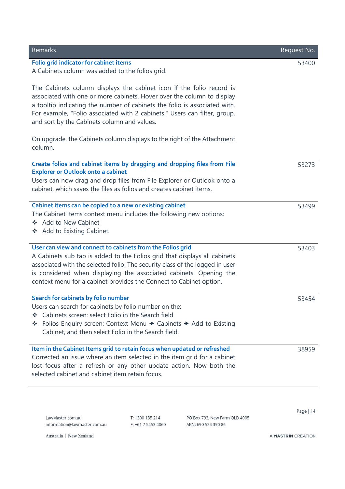<span id="page-13-1"></span><span id="page-13-0"></span>

| Remarks                                                                                                                                                                                                                                                                                                                                                             | Request No. |
|---------------------------------------------------------------------------------------------------------------------------------------------------------------------------------------------------------------------------------------------------------------------------------------------------------------------------------------------------------------------|-------------|
| Folio grid indicator for cabinet items<br>A Cabinets column was added to the folios grid.                                                                                                                                                                                                                                                                           | 53400       |
| The Cabinets column displays the cabinet icon if the folio record is<br>associated with one or more cabinets. Hover over the column to display<br>a tooltip indicating the number of cabinets the folio is associated with.<br>For example, "Folio associated with 2 cabinets." Users can filter, group,<br>and sort by the Cabinets column and values.             |             |
| On upgrade, the Cabinets column displays to the right of the Attachment<br>column.                                                                                                                                                                                                                                                                                  |             |
| Create folios and cabinet items by dragging and dropping files from File<br><b>Explorer or Outlook onto a cabinet</b><br>Users can now drag and drop files from File Explorer or Outlook onto a<br>cabinet, which saves the files as folios and creates cabinet items.                                                                                              | 53273       |
| Cabinet items can be copied to a new or existing cabinet<br>The Cabinet items context menu includes the following new options:<br>❖ Add to New Cabinet<br>❖ Add to Existing Cabinet.                                                                                                                                                                                | 53499       |
| User can view and connect to cabinets from the Folios grid<br>A Cabinets sub tab is added to the Folios grid that displays all cabinets<br>associated with the selected folio. The security class of the logged in user<br>is considered when displaying the associated cabinets. Opening the<br>context menu for a cabinet provides the Connect to Cabinet option. | 53403       |
| Search for cabinets by folio number<br>Users can search for cabinets by folio number on the:<br>Cabinets screen: select Folio in the Search field<br>❖<br>❖ Folios Enquiry screen: Context Menu → Cabinets → Add to Existing<br>Cabinet, and then select Folio in the Search field.                                                                                 | 53454       |
| Item in the Cabinet Items grid to retain focus when updated or refreshed<br>Corrected an issue where an item selected in the item grid for a cabinet<br>lost focus after a refresh or any other update action. Now both the<br>selected cabinet and cabinet item retain focus.                                                                                      | 38959       |

T: 1300 135 214 F: +61 7 5453 4060 PO Box 793, New Farm QLD 4005 ABN: 690 524 390 86

Page | 14

<span id="page-13-3"></span><span id="page-13-2"></span>Australia | New Zealand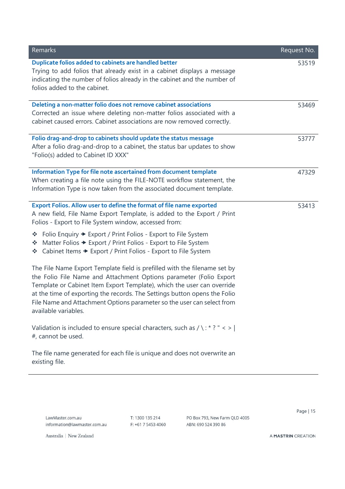<span id="page-14-2"></span><span id="page-14-1"></span><span id="page-14-0"></span>

| Remarks                                                                                                                                                                                                                                                                                                                                                                                                  | Request No. |
|----------------------------------------------------------------------------------------------------------------------------------------------------------------------------------------------------------------------------------------------------------------------------------------------------------------------------------------------------------------------------------------------------------|-------------|
| Duplicate folios added to cabinets are handled better<br>Trying to add folios that already exist in a cabinet displays a message<br>indicating the number of folios already in the cabinet and the number of<br>folios added to the cabinet.                                                                                                                                                             | 53519       |
| Deleting a non-matter folio does not remove cabinet associations<br>Corrected an issue where deleting non-matter folios associated with a<br>cabinet caused errors. Cabinet associations are now removed correctly.                                                                                                                                                                                      | 53469       |
| Folio drag-and-drop to cabinets should update the status message<br>After a folio drag-and-drop to a cabinet, the status bar updates to show<br>"Folio(s) added to Cabinet ID XXX"                                                                                                                                                                                                                       | 53777       |
| Information Type for file note ascertained from document template<br>When creating a file note using the FILE-NOTE workflow statement, the<br>Information Type is now taken from the associated document template.                                                                                                                                                                                       | 47329       |
| Export Folios. Allow user to define the format of file name exported<br>A new field, File Name Export Template, is added to the Export / Print<br>Folios - Export to File System window, accessed from:                                                                                                                                                                                                  | 53413       |
| Folio Enquiry → Export / Print Folios - Export to File System<br>豪<br>Matter Folios → Export / Print Folios - Export to File System<br>樂<br>❖ Cabinet Items → Export / Print Folios - Export to File System                                                                                                                                                                                              |             |
| The File Name Export Template field is prefilled with the filename set by<br>the Folio File Name and Attachment Options parameter (Folio Export<br>Template or Cabinet Item Export Template), which the user can override<br>at the time of exporting the records. The Settings button opens the Folio<br>File Name and Attachment Options parameter so the user can select from<br>available variables. |             |
| Validation is included to ensure special characters, such as $/\backslash : * ? " < >  $<br>#, cannot be used.                                                                                                                                                                                                                                                                                           |             |
| The file name generated for each file is unique and does not overwrite an<br>existing file.                                                                                                                                                                                                                                                                                                              |             |

Page | 15

Australia | New Zealand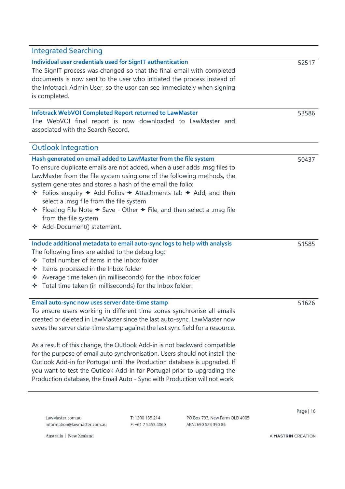<span id="page-15-4"></span><span id="page-15-3"></span><span id="page-15-2"></span><span id="page-15-1"></span><span id="page-15-0"></span>

| <b>Integrated Searching</b>                                                                                                                                                                                                                                                                                                                                                                                                                                                                                                                                                                                                                                                           |       |
|---------------------------------------------------------------------------------------------------------------------------------------------------------------------------------------------------------------------------------------------------------------------------------------------------------------------------------------------------------------------------------------------------------------------------------------------------------------------------------------------------------------------------------------------------------------------------------------------------------------------------------------------------------------------------------------|-------|
| Individual user credentials used for SignIT authentication<br>The SignIT process was changed so that the final email with completed<br>documents is now sent to the user who initiated the process instead of<br>the Infotrack Admin User, so the user can see immediately when signing<br>is completed.                                                                                                                                                                                                                                                                                                                                                                              | 52517 |
| <b>Infotrack WebVOI Completed Report returned to LawMaster</b><br>The WebVOI final report is now downloaded to LawMaster and<br>associated with the Search Record.                                                                                                                                                                                                                                                                                                                                                                                                                                                                                                                    | 53586 |
| <b>Outlook Integration</b>                                                                                                                                                                                                                                                                                                                                                                                                                                                                                                                                                                                                                                                            |       |
| Hash generated on email added to LawMaster from the file system<br>To ensure duplicate emails are not added, when a user adds .msg files to<br>LawMaster from the file system using one of the following methods, the<br>system generates and stores a hash of the email the folio:<br>❖ Folios enquiry → Add Folios → Attachments tab → Add, and then<br>select a .msg file from the file system<br>❖ Floating File Note → Save - Other → File, and then select a .msg file<br>from the file system<br>❖ Add-Document() statement.                                                                                                                                                   | 50437 |
| Include additional metadata to email auto-sync logs to help with analysis<br>The following lines are added to the debug log:<br>❖ Total number of items in the Inbox folder<br>❖ Items processed in the Inbox folder<br>❖ Average time taken (in milliseconds) for the Inbox folder<br>❖ Total time taken (in milliseconds) for the Inbox folder.                                                                                                                                                                                                                                                                                                                                     | 51585 |
| Email auto-sync now uses server date-time stamp<br>To ensure users working in different time zones synchronise all emails<br>created or deleted in LawMaster since the last auto-sync, LawMaster now<br>saves the server date-time stamp against the last sync field for a resource.<br>As a result of this change, the Outlook Add-in is not backward compatible<br>for the purpose of email auto synchronisation. Users should not install the<br>Outlook Add-in for Portugal until the Production database is upgraded. If<br>you want to test the Outlook Add-in for Portugal prior to upgrading the<br>Production database, the Email Auto - Sync with Production will not work. | 51626 |
|                                                                                                                                                                                                                                                                                                                                                                                                                                                                                                                                                                                                                                                                                       |       |

T: 1300 135 214 F: +61 7 5453 4060 PO Box 793, New Farm QLD 4005 ABN: 690 524 390 86

Page | 16

<span id="page-15-5"></span>Australia | New Zealand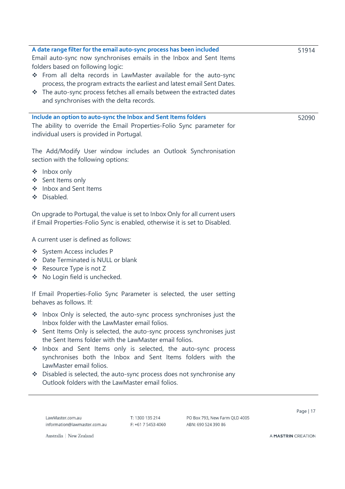<span id="page-16-0"></span>**A date range filter for the email auto-sync process has been included** Email auto-sync now synchronises emails in the Inbox and Sent Items folders based on following logic:

- ❖ From all delta records in LawMaster available for the auto-sync process, the program extracts the earliest and latest email Sent Dates.
- ❖ The auto-sync process fetches all emails between the extracted dates and synchronises with the delta records.

### <span id="page-16-1"></span>**Include an option to auto-sync the Inbox and Sent Items folders**

The ability to override the Email Properties-Folio Sync parameter for individual users is provided in Portugal.

The Add/Modify User window includes an Outlook Synchronisation section with the following options:

- ❖ Inbox only
- ❖ Sent Items only
- ❖ Inbox and Sent Items
- ❖ Disabled.

On upgrade to Portugal, the value is set to Inbox Only for all current users if Email Properties-Folio Sync is enabled, otherwise it is set to Disabled.

A current user is defined as follows:

- ❖ System Access includes P
- ❖ Date Terminated is NULL or blank
- ❖ Resource Type is not Z
- ❖ No Login field is unchecked.

If Email Properties-Folio Sync Parameter is selected, the user setting behaves as follows. If:

- ❖ Inbox Only is selected, the auto-sync process synchronises just the Inbox folder with the LawMaster email folios.
- ❖ Sent Items Only is selected, the auto-sync process synchronises just the Sent Items folder with the LawMaster email folios.
- ❖ Inbox and Sent Items only is selected, the auto-sync process synchronises both the Inbox and Sent Items folders with the LawMaster email folios.
- ❖ Disabled is selected, the auto-sync process does not synchronise any Outlook folders with the LawMaster email folios.

LawMaster.com.au information@lawmaster.com.au T: 1300 135 214 F: +61 7 5453 4060 PO Box 793, New Farm OLD 4005 ABN: 690 524 390 86

Page | 17

Australia | New Zealand

A MASTRIN CREATION

52090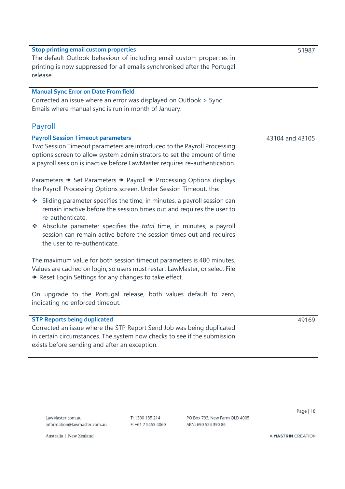<span id="page-17-3"></span><span id="page-17-2"></span><span id="page-17-1"></span><span id="page-17-0"></span>

| <b>Stop printing email custom properties</b>                                 | 51987           |  |
|------------------------------------------------------------------------------|-----------------|--|
| The default Outlook behaviour of including email custom properties in        |                 |  |
| printing is now suppressed for all emails synchronised after the Portugal    |                 |  |
| release.                                                                     |                 |  |
|                                                                              |                 |  |
| <b>Manual Sync Error on Date From field</b>                                  |                 |  |
| Corrected an issue where an error was displayed on Outlook > Sync            |                 |  |
| Emails where manual sync is run in month of January.                         |                 |  |
| Payroll                                                                      |                 |  |
| <b>Payroll Session Timeout parameters</b>                                    | 43104 and 43105 |  |
| Two Session Timeout parameters are introduced to the Payroll Processing      |                 |  |
| options screen to allow system administrators to set the amount of time      |                 |  |
| a payroll session is inactive before LawMaster requires re-authentication.   |                 |  |
|                                                                              |                 |  |
| Parameters → Set Parameters → Payroll → Processing Options displays          |                 |  |
| the Payroll Processing Options screen. Under Session Timeout, the:           |                 |  |
| Sliding parameter specifies the time, in minutes, a payroll session can<br>❖ |                 |  |
| remain inactive before the session times out and requires the user to        |                 |  |
| re-authenticate.                                                             |                 |  |
| * Absolute parameter specifies the <i>total</i> time, in minutes, a payroll  |                 |  |
| session can remain active before the session times out and requires          |                 |  |
| the user to re-authenticate.                                                 |                 |  |
|                                                                              |                 |  |
| The maximum value for both session timeout parameters is 480 minutes.        |                 |  |
| Values are cached on login, so users must restart LawMaster, or select File  |                 |  |
| Reset Login Settings for any changes to take effect.                         |                 |  |
|                                                                              |                 |  |
| On upgrade to the Portugal release, both values default to zero,             |                 |  |
| indicating no enforced timeout.                                              |                 |  |
| <b>STP Reports being duplicated</b>                                          | 49169           |  |

<span id="page-17-4"></span>Corrected an issue where the STP Report Send Job was being duplicated in certain circumstances. The system now checks to see if the submission exists before sending and after an exception.

49169

LawMaster.com.au information@lawmaster.com.au

T: 1300 135 214 PO Box 793, New Farm QLD 4005<br>F: +61 7 5453 4060 ABN: 690 524 390 86

Page | 18

Australia | New Zealand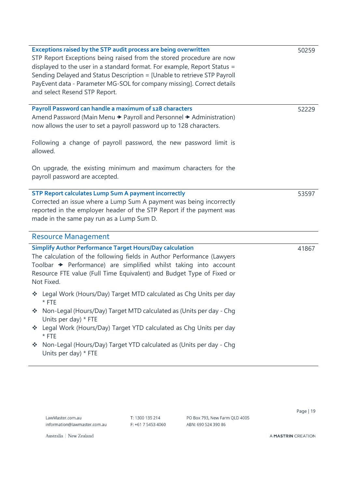<span id="page-18-3"></span><span id="page-18-2"></span><span id="page-18-1"></span><span id="page-18-0"></span>

| Exceptions raised by the STP audit process are being overwritten<br>STP Report Exceptions being raised from the stored procedure are now<br>displayed to the user in a standard format. For example, Report Status =<br>Sending Delayed and Status Description = [Unable to retrieve STP Payroll<br>PayEvent data - Parameter MG-SOL for company missing]. Correct details<br>and select Resend STP Report. | 50259 |
|-------------------------------------------------------------------------------------------------------------------------------------------------------------------------------------------------------------------------------------------------------------------------------------------------------------------------------------------------------------------------------------------------------------|-------|
| Payroll Password can handle a maximum of 128 characters<br>Amend Password (Main Menu → Payroll and Personnel → Administration)<br>now allows the user to set a payroll password up to 128 characters.<br>Following a change of payroll password, the new password limit is<br>allowed.                                                                                                                      | 52229 |
| On upgrade, the existing minimum and maximum characters for the<br>payroll password are accepted.                                                                                                                                                                                                                                                                                                           |       |
| <b>STP Report calculates Lump Sum A payment incorrectly</b><br>Corrected an issue where a Lump Sum A payment was being incorrectly<br>reported in the employer header of the STP Report if the payment was<br>made in the same pay run as a Lump Sum D.                                                                                                                                                     | 53597 |
| <b>Resource Management</b>                                                                                                                                                                                                                                                                                                                                                                                  |       |
| <b>Simplify Author Performance Target Hours/Day calculation</b><br>The calculation of the following fields in Author Performance (Lawyers<br>Toolbar → Performance) are simplified whilst taking into account<br>Resource FTE value (Full Time Equivalent) and Budget Type of Fixed or<br>Not Fixed.                                                                                                        | 41867 |
| Legal Work (Hours/Day) Target MTD calculated as Chg Units per day<br>* FTE                                                                                                                                                                                                                                                                                                                                  |       |
| Non-Legal (Hours/Day) Target MTD calculated as (Units per day - Chg<br>Units per day) * FTE                                                                                                                                                                                                                                                                                                                 |       |
| Legal Work (Hours/Day) Target YTD calculated as Chg Units per day<br>豪<br>$*$ FTE                                                                                                                                                                                                                                                                                                                           |       |
| Non-Legal (Hours/Day) Target YTD calculated as (Units per day - Chg<br>榛<br>Units per day) * FTE                                                                                                                                                                                                                                                                                                            |       |

T: 1300 135 214 F: +61 7 5453 4060 PO Box 793, New Farm QLD 4005 ABN: 690 524 390 86

Page | 19

<span id="page-18-4"></span>Australia | New Zealand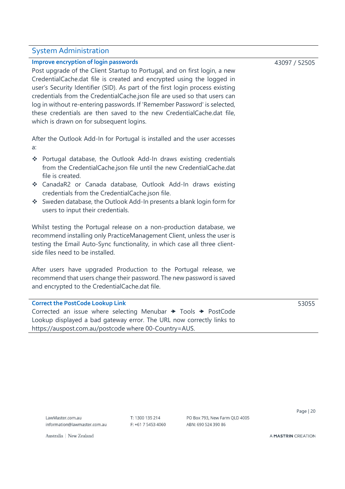# <span id="page-19-0"></span>System Administration

## <span id="page-19-1"></span>**Improve encryption of login passwords**

Post upgrade of the Client Startup to Portugal, and on first login, a new CredentialCache.dat file is created and encrypted using the logged in user's Security Identifier (SID). As part of the first login process existing credentials from the CredentialCache.json file are used so that users can log in without re-entering passwords. If 'Remember Password' is selected, these credentials are then saved to the new CredentialCache.dat file, which is drawn on for subsequent logins.

After the Outlook Add-In for Portugal is installed and the user accesses a:

- ❖ Portugal database, the Outlook Add-In draws existing credentials from the CredentialCache.json file until the new CredentialCache.dat file is created.
- ❖ CanadaR2 or Canada database, Outlook Add-In draws existing credentials from the CredentialCache.json file.
- ❖ Sweden database, the Outlook Add-In presents a blank login form for users to input their credentials.

Whilst testing the Portugal release on a non-production database, we recommend installing only PracticeManagement Client, unless the user is testing the Email Auto-Sync functionality, in which case all three clientside files need to be installed.

After users have upgraded Production to the Portugal release, we recommend that users change their password. The new password is saved and encrypted to the CredentialCache.dat file.

<span id="page-19-2"></span>

| <b>Correct the PostCode Lookup Link</b>                                               | 53055 |
|---------------------------------------------------------------------------------------|-------|
| Corrected an issue where selecting Menubar $\rightarrow$ Tools $\rightarrow$ PostCode |       |
| Lookup displayed a bad gateway error. The URL now correctly links to                  |       |
| https://auspost.com.au/postcode where 00-Country=AUS.                                 |       |
|                                                                                       |       |

43097 / 52505

LawMaster.com.au information@lawmaster.com.au T: 1300 135 214 F: +61 7 5453 4060 PO Box 793, New Farm OLD 4005 ABN: 690 524 390 86

Page | 20

Australia | New Zealand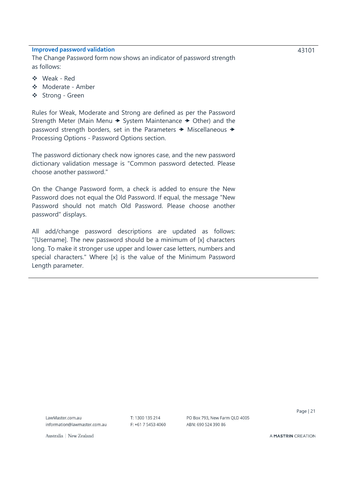### <span id="page-20-0"></span>**Improved password validation**

The Change Password form now shows an indicator of password strength as follows:

- ❖ Weak Red
- ❖ Moderate Amber
- ❖ Strong Green

Rules for Weak, Moderate and Strong are defined as per the Password Strength Meter (Main Menu  $\rightarrow$  System Maintenance  $\rightarrow$  Other) and the password strength borders, set in the Parameters  $\rightarrow$  Miscellaneous  $\rightarrow$ Processing Options - Password Options section.

The password dictionary check now ignores case, and the new password dictionary validation message is "Common password detected. Please choose another password."

On the Change Password form, a check is added to ensure the New Password does not equal the Old Password. If equal, the message "New Password should not match Old Password. Please choose another password" displays.

All add/change password descriptions are updated as follows: "[Username]. The new password should be a minimum of [x] characters long. To make it stronger use upper and lower case letters, numbers and special characters." Where [x] is the value of the Minimum Password Length parameter.

LawMaster.com.au information@lawmaster.com.au T: 1300 135 214 F: +61 7 5453 4060 PO Box 793, New Farm OLD 4005 ABN: 690 524 390 86

Page | 21

A MASTRIN CREATION

Australia | New Zealand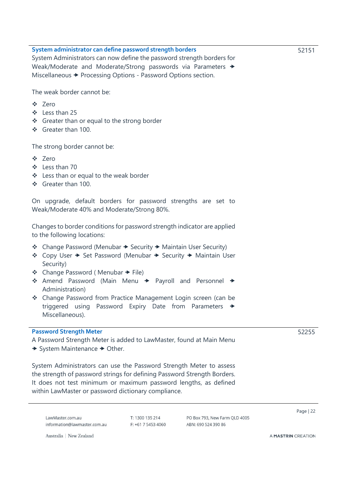<span id="page-21-0"></span>

| System administrator can define password strength borders<br>System Administrators can now define the password strength borders for<br>Weak/Moderate and Moderate/Strong passwords via Parameters →<br>Miscellaneous → Processing Options - Password Options section.<br>The weak border cannot be:<br>❖ Zero<br>❖ Less than 25<br>❖ Greater than or equal to the strong border<br>Greater than 100. | 52151 |
|------------------------------------------------------------------------------------------------------------------------------------------------------------------------------------------------------------------------------------------------------------------------------------------------------------------------------------------------------------------------------------------------------|-------|
| The strong border cannot be:                                                                                                                                                                                                                                                                                                                                                                         |       |
| ❖ Zero<br>❖ Less than 70<br>❖ Less than or equal to the weak border<br>Greater than 100.                                                                                                                                                                                                                                                                                                             |       |
| On upgrade, default borders for password strengths are set to<br>Weak/Moderate 40% and Moderate/Strong 80%.                                                                                                                                                                                                                                                                                          |       |
| Changes to border conditions for password strength indicator are applied<br>to the following locations:                                                                                                                                                                                                                                                                                              |       |
| ❖ Change Password (Menubar → Security → Maintain User Security)<br>❖ Copy User → Set Password (Menubar → Security → Maintain User<br>Security)<br>❖ Change Password (Menubar → File)<br>* Amend Password (Main Menu + Payroll and Personnel +<br>Administration)<br>❖ Change Password from Practice Management Login screen (can be<br>triggered using Password Expiry Date from Parameters →        |       |
| Miscellaneous).                                                                                                                                                                                                                                                                                                                                                                                      |       |
| <b>Password Strength Meter</b><br>A Password Strength Meter is added to LawMaster, found at Main Menu<br>System Maintenance > Other.                                                                                                                                                                                                                                                                 | 52255 |

<span id="page-21-1"></span>System Administrators can use the Password Strength Meter to assess the strength of password strings for defining Password Strength Borders. It does not test minimum or maximum password lengths, as defined within LawMaster or password dictionary compliance.

LawMaster.com.au information@lawmaster.com.au T: 1300 135 214 F: +61 7 5453 4060 PO Box 793, New Farm QLD 4005 ABN: 690 524 390 86

Page | 22

Australia | New Zealand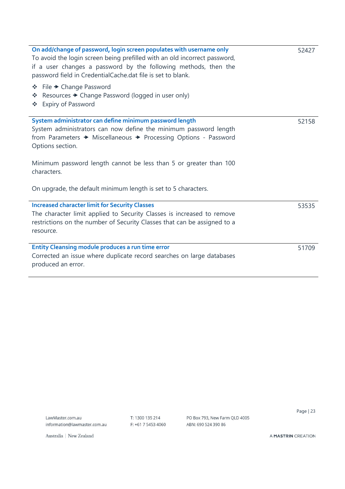<span id="page-22-2"></span><span id="page-22-1"></span><span id="page-22-0"></span>

| On add/change of password, login screen populates with username only<br>To avoid the login screen being prefilled with an old incorrect password,<br>if a user changes a password by the following methods, then the<br>password field in CredentialCache.dat file is set to blank. |       |  |
|-------------------------------------------------------------------------------------------------------------------------------------------------------------------------------------------------------------------------------------------------------------------------------------|-------|--|
| ❖ File → Change Password<br>❖ Resources → Change Password (logged in user only)<br>❖ Expiry of Password                                                                                                                                                                             |       |  |
| System administrator can define minimum password length<br>System administrators can now define the minimum password length<br>from Parameters → Miscellaneous → Processing Options - Password<br>Options section.                                                                  | 52158 |  |
| Minimum password length cannot be less than 5 or greater than 100<br>characters.                                                                                                                                                                                                    |       |  |
| On upgrade, the default minimum length is set to 5 characters.                                                                                                                                                                                                                      |       |  |
| <b>Increased character limit for Security Classes</b><br>The character limit applied to Security Classes is increased to remove<br>restrictions on the number of Security Classes that can be assigned to a<br>resource.                                                            | 53535 |  |
| <b>Entity Cleansing module produces a run time error</b><br>Corrected an issue where duplicate record searches on large databases<br>produced an error.                                                                                                                             | 51709 |  |

T: 1300 135 214 F: +61 7 5453 4060 PO Box 793, New Farm QLD 4005 ABN: 690 524 390 86

Page | 23

<span id="page-22-3"></span>Australia | New Zealand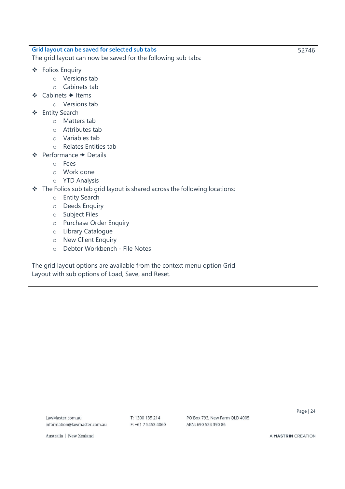# <span id="page-23-0"></span>**Grid layout can be saved for selected sub tabs**

The grid layout can now be saved for the following sub tabs:

- ❖ Folios Enquiry
	- o Versions tab
	- o Cabinets tab
- ❖ Cabinets → Items
	- o Versions tab
- ❖ Entity Search
	- o Matters tab
	- o Attributes tab
	- o Variables tab
	- o Relates Entities tab
- ❖ Performance Details
	- o Fees
	- o Work done
	- o YTD Analysis
- ❖ The Folios sub tab grid layout is shared across the following locations:
	- o Entity Search
	- o Deeds Enquiry
	- o Subject Files
	- o Purchase Order Enquiry
	- o Library Catalogue
	- o New Client Enquiry
	- o Debtor Workbench File Notes

The grid layout options are available from the context menu option Grid Layout with sub options of Load, Save, and Reset.

LawMaster.com.au information@lawmaster.com.au T: 1300 135 214 F: +61 7 5453 4060 PO Box 793, New Farm OLD 4005 ABN: 690 524 390 86

Page | 24

52746

Australia | New Zealand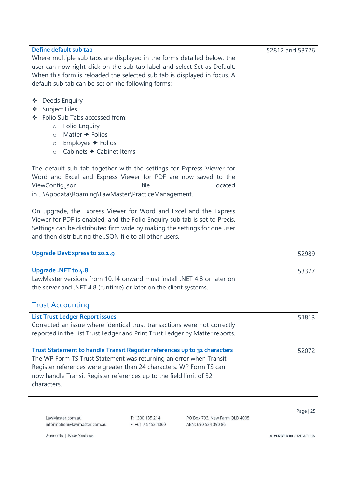### <span id="page-24-0"></span>**Define default sub tab**

Where multiple sub tabs are displayed in the forms detailed below, the user can now right-click on the sub tab label and select Set as Default. When this form is reloaded the selected sub tab is displayed in focus. A default sub tab can be set on the following forms:

## ❖ Deeds Enquiry

- ❖ Subject Files
- ❖ Folio Sub Tabs accessed from:
	- o Folio Enquiry
	- o Matter Folios
	- $\circ$  Employee  $\rightarrow$  Folios
	- $\circ$  Cabinets  $\rightarrow$  Cabinet Items

The default sub tab together with the settings for Express Viewer for Word and Excel and Express Viewer for PDF are now saved to the ViewConfig.json file file located in ...\Appdata\Roaming\LawMaster\PracticeManagement.

On upgrade, the Express Viewer for Word and Excel and the Express Viewer for PDF is enabled, and the Folio Enquiry sub tab is set to Precis. Settings can be distributed firm wide by making the settings for one user and then distributing the JSON file to all other users.

<span id="page-24-4"></span><span id="page-24-3"></span><span id="page-24-2"></span><span id="page-24-1"></span>

| <b>Upgrade DevExpress to 20.1.9</b>                                         | 52989 |
|-----------------------------------------------------------------------------|-------|
| Upgrade .NET to 4.8                                                         | 53377 |
| LawMaster versions from 10.14 onward must install .NET 4.8 or later on      |       |
| the server and .NET 4.8 (runtime) or later on the client systems.           |       |
| <b>Trust Accounting</b>                                                     |       |
| <b>List Trust Ledger Report issues</b>                                      | 51813 |
| Corrected an issue where identical trust transactions were not correctly    |       |
| reported in the List Trust Ledger and Print Trust Ledger by Matter reports. |       |
| Trust Statement to handle Transit Register references up to 32 characters   | 52072 |
| The WP Form TS Trust Statement was returning an error when Transit          |       |
| Register references were greater than 24 characters. WP Form TS can         |       |
| now handle Transit Register references up to the field limit of 32          |       |
| characters.                                                                 |       |
|                                                                             |       |
|                                                                             |       |

<span id="page-24-5"></span>LawMaster.com.au information@lawmaster.com.au T: 1300 135 214 F: +61 7 5453 4060 PO Box 793, New Farm OLD 4005 ABN: 690 524 390 86

Page | 25

Australia | New Zealand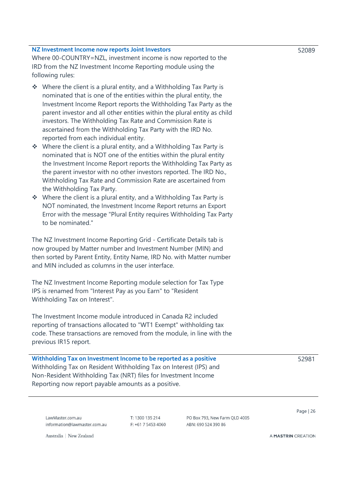### <span id="page-25-0"></span>**NZ Investment Income now reports Joint Investors**

Where 00-COUNTRY=NZL, investment income is now reported to the IRD from the NZ Investment Income Reporting module using the following rules:

- ❖ Where the client is a plural entity, and a Withholding Tax Party is nominated that is one of the entities within the plural entity, the Investment Income Report reports the Withholding Tax Party as the parent investor and all other entities within the plural entity as child investors. The Withholding Tax Rate and Commission Rate is ascertained from the Withholding Tax Party with the IRD No. reported from each individual entity.
- ❖ Where the client is a plural entity, and a Withholding Tax Party is nominated that is NOT one of the entities within the plural entity the Investment Income Report reports the Withholding Tax Party as the parent investor with no other investors reported. The IRD No., Withholding Tax Rate and Commission Rate are ascertained from the Withholding Tax Party.
- ❖ Where the client is a plural entity, and a Withholding Tax Party is NOT nominated, the Investment Income Report returns an Export Error with the message "Plural Entity requires Withholding Tax Party to be nominated."

The NZ Investment Income Reporting Grid - Certificate Details tab is now grouped by Matter number and Investment Number (MIN) and then sorted by Parent Entity, Entity Name, IRD No. with Matter number and MIN included as columns in the user interface.

The NZ Investment Income Reporting module selection for Tax Type IPS is renamed from "Interest Pay as you Earn" to "Resident Withholding Tax on Interest".

The Investment Income module introduced in Canada R2 included reporting of transactions allocated to "WT1 Exempt" withholding tax code. These transactions are removed from the module, in line with the previous IR15 report.

<span id="page-25-1"></span>**Withholding Tax on Investment Income to be reported as a positive** Withholding Tax on Resident Withholding Tax on Interest (IPS) and Non-Resident Withholding Tax (NRT) files for Investment Income Reporting now report payable amounts as a positive.

LawMaster.com.au information@lawmaster.com.au

Australia | New Zealand

T: 1300 135 214 F: +61 7 5453 4060 PO Box 793, New Farm OLD 4005 ABN: 690 524 390 86

Page | 26

A MASTRIN CREATION

52981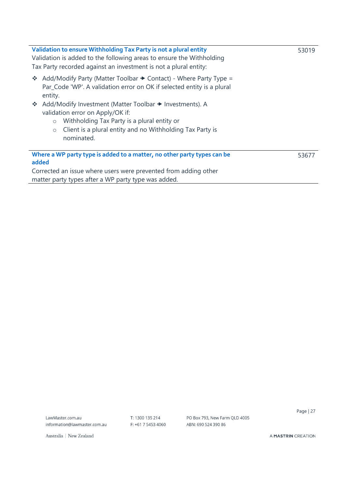<span id="page-26-1"></span><span id="page-26-0"></span>

| Validation to ensure Withholding Tax Party is not a plural entity<br>Validation is added to the following areas to ensure the Withholding<br>Tax Party recorded against an investment is not a plural entity: | 53019 |
|---------------------------------------------------------------------------------------------------------------------------------------------------------------------------------------------------------------|-------|
| Add/Modify Party (Matter Toolbar $\rightarrow$ Contact) - Where Party Type =<br>豪<br>Par_Code 'WP'. A validation error on OK if selected entity is a plural<br>entity.                                        |       |
| ❖ Add/Modify Investment (Matter Toolbar → Investments). A                                                                                                                                                     |       |
| validation error on Apply/OK if:                                                                                                                                                                              |       |
| Withholding Tax Party is a plural entity or<br>$\circ$                                                                                                                                                        |       |
| Client is a plural entity and no Withholding Tax Party is<br>$\circ$                                                                                                                                          |       |
| nominated.                                                                                                                                                                                                    |       |
| Where a WP party type is added to a matter, no other party types can be                                                                                                                                       | 53677 |
| added                                                                                                                                                                                                         |       |
| Corrected an issue where users were prevented from adding other                                                                                                                                               |       |
| matter party types after a WP party type was added.                                                                                                                                                           |       |
|                                                                                                                                                                                                               |       |

Page | 27

Australia | New Zealand